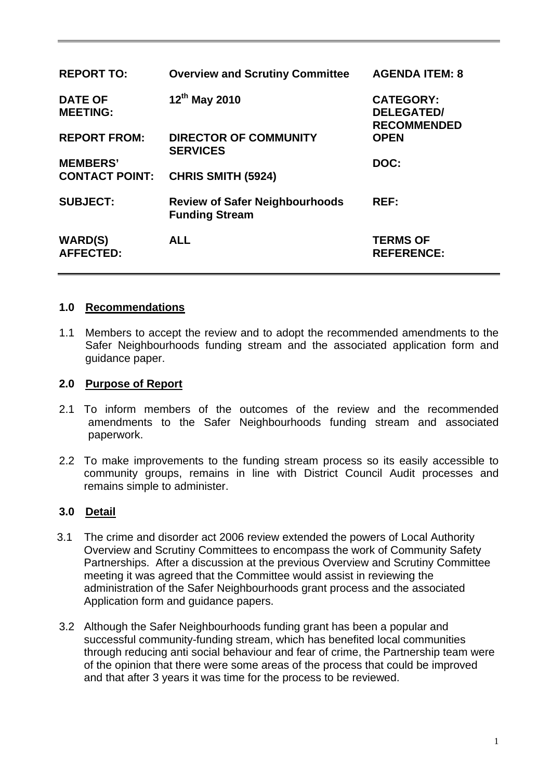| <b>REPORT TO:</b>                  | <b>Overview and Scrutiny Committee</b>                         | <b>AGENDA ITEM: 8</b>                                       |
|------------------------------------|----------------------------------------------------------------|-------------------------------------------------------------|
| <b>DATE OF</b><br><b>MEETING:</b>  | 12 <sup>th</sup> May 2010                                      | <b>CATEGORY:</b><br><b>DELEGATED/</b><br><b>RECOMMENDED</b> |
| <b>REPORT FROM:</b>                | <b>DIRECTOR OF COMMUNITY</b><br><b>SERVICES</b>                | <b>OPEN</b>                                                 |
| <b>MEMBERS'</b>                    |                                                                | DOC:                                                        |
| <b>CONTACT POINT:</b>              | <b>CHRIS SMITH (5924)</b>                                      |                                                             |
| <b>SUBJECT:</b>                    | <b>Review of Safer Neighbourhoods</b><br><b>Funding Stream</b> | REF:                                                        |
| <b>WARD(S)</b><br><b>AFFECTED:</b> | <b>ALL</b>                                                     | <b>TERMS OF</b><br><b>REFERENCE:</b>                        |

#### **1.0 Recommendations**

1.1 Members to accept the review and to adopt the recommended amendments to the Safer Neighbourhoods funding stream and the associated application form and guidance paper.

#### **2.0 Purpose of Report**

- 2.1 To inform members of the outcomes of the review and the recommended amendments to the Safer Neighbourhoods funding stream and associated paperwork.
- 2.2 To make improvements to the funding stream process so its easily accessible to community groups, remains in line with District Council Audit processes and remains simple to administer.

#### **3.0 Detail**

- 3.1 The crime and disorder act 2006 review extended the powers of Local Authority Overview and Scrutiny Committees to encompass the work of Community Safety Partnerships. After a discussion at the previous Overview and Scrutiny Committee meeting it was agreed that the Committee would assist in reviewing the administration of the Safer Neighbourhoods grant process and the associated Application form and guidance papers.
- 3.2 Although the Safer Neighbourhoods funding grant has been a popular and successful community-funding stream, which has benefited local communities through reducing anti social behaviour and fear of crime, the Partnership team were of the opinion that there were some areas of the process that could be improved and that after 3 years it was time for the process to be reviewed.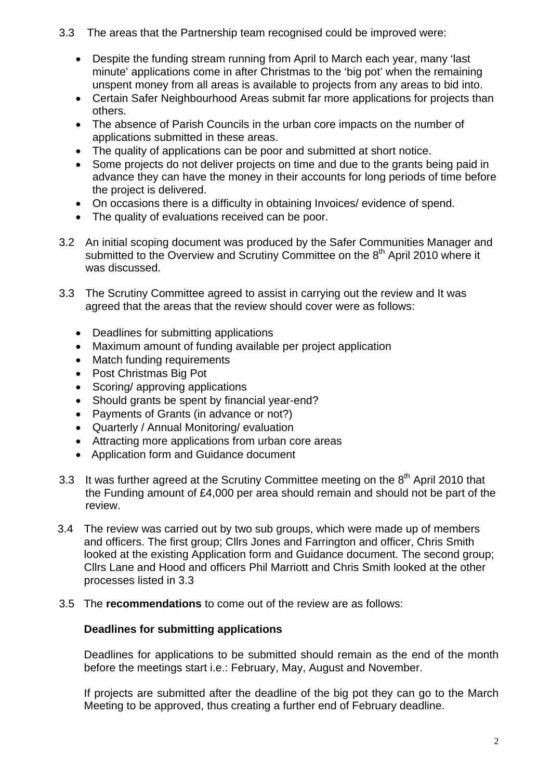- 3.3 The areas that the Partnership team recognised could be improved were:
	- Despite the funding stream running from April to March each year, many 'last minute' applications come in after Christmas to the 'big pot' when the remaining unspent money from all areas is available to projects from any areas to bid into.
	- Certain Safer Neighbourhood Areas submit far more applications for projects than others.
	- The absence of Parish Councils in the urban core impacts on the number of applications submitted in these areas.
	- The quality of applications can be poor and submitted at short notice.
	- Some projects do not deliver projects on time and due to the grants being paid in advance they can have the money in their accounts for long periods of time before the project is delivered.
	- On occasions there is a difficulty in obtaining Invoices/ evidence of spend.
	- The quality of evaluations received can be poor.
- 3.2 An initial scoping document was produced by the Safer Communities Manager and submitted to the Overview and Scrutiny Committee on the 8<sup>th</sup> April 2010 where it was discussed.
- 3.3 The Scrutiny Committee agreed to assist in carrying out the review and It was agreed that the areas that the review should cover were as follows:
	- Deadlines for submitting applications
	- Maximum amount of funding available per project application
	- Match funding requirements
	- Post Christmas Big Pot
	- Scoring/ approving applications
	- Should grants be spent by financial year-end?
	- Payments of Grants (in advance or not?)
	- Quarterly / Annual Monitoring/ evaluation
	- Attracting more applications from urban core areas
	- Application form and Guidance document
- 3.3 It was further agreed at the Scrutiny Committee meeting on the  $8<sup>th</sup>$  April 2010 that the Funding amount of £4,000 per area should remain and should not be part of the review.
- 3.4 The review was carried out by two sub groups, which were made up of members and officers. The first group; Cllrs Jones and Farrington and officer, Chris Smith looked at the existing Application form and Guidance document. The second group; Cllrs Lane and Hood and officers Phil Marriott and Chris Smith looked at the other processes listed in 3.3
- 3.5 The **recommendations** to come out of the review are as follows:

## **Deadlines for submitting applications**

Deadlines for applications to be submitted should remain as the end of the month before the meetings start i.e.: February, May, August and November.

If projects are submitted after the deadline of the big pot they can go to the March Meeting to be approved, thus creating a further end of February deadline.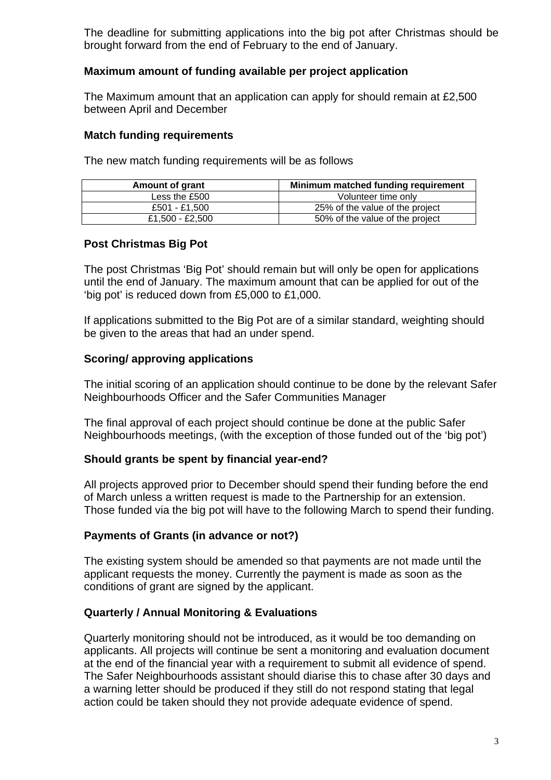The deadline for submitting applications into the big pot after Christmas should be brought forward from the end of February to the end of January.

## **Maximum amount of funding available per project application**

The Maximum amount that an application can apply for should remain at £2,500 between April and December

#### **Match funding requirements**

The new match funding requirements will be as follows

| <b>Amount of grant</b> | Minimum matched funding requirement |
|------------------------|-------------------------------------|
| Less the £500          | Volunteer time only                 |
| £501 - £1.500          | 25% of the value of the project     |
| £1,500 - £2,500        | 50% of the value of the project     |

#### **Post Christmas Big Pot**

The post Christmas 'Big Pot' should remain but will only be open for applications until the end of January. The maximum amount that can be applied for out of the 'big pot' is reduced down from £5,000 to £1,000.

If applications submitted to the Big Pot are of a similar standard, weighting should be given to the areas that had an under spend.

## **Scoring/ approving applications**

The initial scoring of an application should continue to be done by the relevant Safer Neighbourhoods Officer and the Safer Communities Manager

The final approval of each project should continue be done at the public Safer Neighbourhoods meetings, (with the exception of those funded out of the 'big pot')

#### **Should grants be spent by financial year-end?**

All projects approved prior to December should spend their funding before the end of March unless a written request is made to the Partnership for an extension. Those funded via the big pot will have to the following March to spend their funding.

#### **Payments of Grants (in advance or not?)**

The existing system should be amended so that payments are not made until the applicant requests the money. Currently the payment is made as soon as the conditions of grant are signed by the applicant.

## **Quarterly / Annual Monitoring & Evaluations**

Quarterly monitoring should not be introduced, as it would be too demanding on applicants. All projects will continue be sent a monitoring and evaluation document at the end of the financial year with a requirement to submit all evidence of spend. The Safer Neighbourhoods assistant should diarise this to chase after 30 days and a warning letter should be produced if they still do not respond stating that legal action could be taken should they not provide adequate evidence of spend.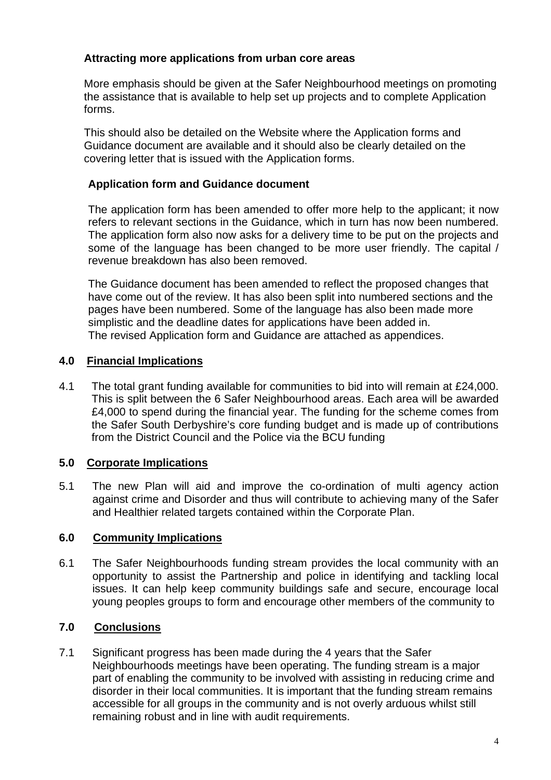## **Attracting more applications from urban core areas**

More emphasis should be given at the Safer Neighbourhood meetings on promoting the assistance that is available to help set up projects and to complete Application forms.

This should also be detailed on the Website where the Application forms and Guidance document are available and it should also be clearly detailed on the covering letter that is issued with the Application forms.

## **Application form and Guidance document**

The application form has been amended to offer more help to the applicant; it now refers to relevant sections in the Guidance, which in turn has now been numbered. The application form also now asks for a delivery time to be put on the projects and some of the language has been changed to be more user friendly. The capital / revenue breakdown has also been removed.

The Guidance document has been amended to reflect the proposed changes that have come out of the review. It has also been split into numbered sections and the pages have been numbered. Some of the language has also been made more simplistic and the deadline dates for applications have been added in. The revised Application form and Guidance are attached as appendices.

## **4.0 Financial Implications**

4.1 The total grant funding available for communities to bid into will remain at £24,000. This is split between the 6 Safer Neighbourhood areas. Each area will be awarded £4,000 to spend during the financial year. The funding for the scheme comes from the Safer South Derbyshire's core funding budget and is made up of contributions from the District Council and the Police via the BCU funding

## **5.0 Corporate Implications**

5.1 The new Plan will aid and improve the co-ordination of multi agency action against crime and Disorder and thus will contribute to achieving many of the Safer and Healthier related targets contained within the Corporate Plan.

#### **6.0 Community Implications**

6.1 The Safer Neighbourhoods funding stream provides the local community with an opportunity to assist the Partnership and police in identifying and tackling local issues. It can help keep community buildings safe and secure, encourage local young peoples groups to form and encourage other members of the community to

## **7.0 Conclusions**

7.1 Significant progress has been made during the 4 years that the Safer Neighbourhoods meetings have been operating. The funding stream is a major part of enabling the community to be involved with assisting in reducing crime and disorder in their local communities. It is important that the funding stream remains accessible for all groups in the community and is not overly arduous whilst still remaining robust and in line with audit requirements.